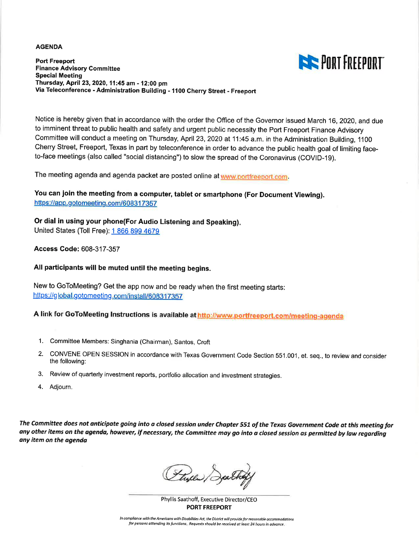#### **AGENDA**

**THE PORT FREEPORT** 

**Port Freeport Finance Advisory Committee Special Meeting** Thursday, April 23, 2020, 11:45 am - 12:00 pm Via Teleconference - Administration Building - 1100 Cherry Street - Freeport

Notice is hereby given that in accordance with the order the Office of the Governor issued March 16, 2020, and due to imminent threat to public health and safety and urgent public necessity the Port Freeport Finance Advisory Committee will conduct a meeting on Thursday, April 23, 2020 at 11:45 a.m. in the Administration Building, 1100 Cherry Street, Freeport, Texas in part by teleconference in order to advance the public health goal of limiting faceto-face meetings (also called "social distancing") to slow the spread of the Coronavirus (COVID-19).

The meeting agenda and agenda packet are posted online at www.portfreeport.com.

You can join the meeting from a computer, tablet or smartphone (For Document Viewing). https://app.gotomeeting.com/608317357

Or dial in using your phone(For Audio Listening and Speaking). United States (Toll Free): 1 866 899 4679

**Access Code: 608-317-357** 

All participants will be muted until the meeting begins.

New to GoToMeeting? Get the app now and be ready when the first meeting starts: https://global.gotomeeting.com/install/608317357

A link for GoToMeeting Instructions is available at http://www.portfreeport.com/meeting-agenda

- 1. Committee Members: Singhania (Chairman), Santos, Croft
- 2. CONVENE OPEN SESSION in accordance with Texas Government Code Section 551.001, et. seq., to review and consider the following:
- 3. Review of quarterly investment reports, portfolio allocation and investment strategies.
- 4. Adjourn.

The Committee does not anticipate going into a closed session under Chapter 551 of the Texas Government Code at this meeting for any other items on the agenda, however, if necessary, the Committee may go into a closed session as permitted by law regarding any item on the agenda

Flyer Dat

Phyllis Saathoff, Executive Director/CEO **PORT FREEPORT** 

In compliance with the Americans with Disabilities Act, the District will provide for reasonable accommodations for persons attending its functions. Requests should be received at least 24 hours in advance.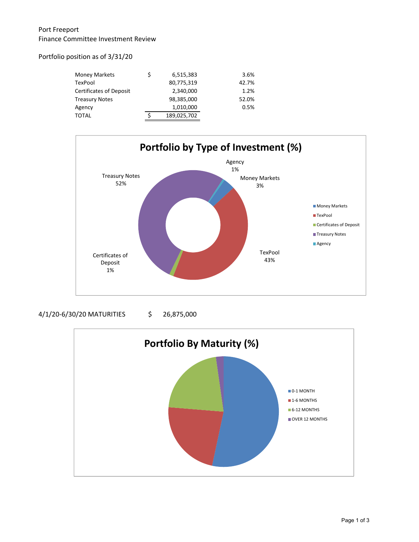# Port Freeport Finance Committee Investment Review

## Portfolio position as of 3/31/20

| Money Markets           | \$<br>6,515,383 | 3.6%  |
|-------------------------|-----------------|-------|
| TexPool                 | 80,775,319      | 42.7% |
| Certificates of Deposit | 2,340,000       | 1.2%  |
| Treasury Notes          | 98,385,000      | 52.0% |
| Agency                  | 1,010,000       | 0.5%  |
| TOTAL                   | 189,025,702     |       |
|                         |                 |       |



### 4/1/20-6/30/20 MATURITIES \$ 26,875,000

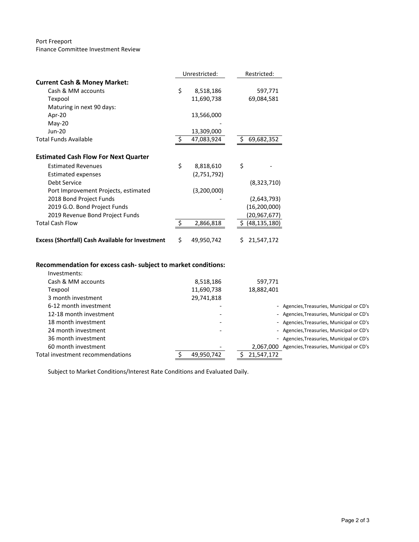#### Port Freeport Finance Committee Investment Review

|                                                         |                | Unrestricted: |    | Restricted:    |  |
|---------------------------------------------------------|----------------|---------------|----|----------------|--|
| <b>Current Cash &amp; Money Market:</b>                 |                |               |    |                |  |
| Cash & MM accounts                                      | \$             | 8,518,186     |    | 597,771        |  |
| Texpool                                                 |                | 11,690,738    |    | 69,084,581     |  |
| Maturing in next 90 days:                               |                |               |    |                |  |
| Apr-20                                                  |                | 13,566,000    |    |                |  |
| May-20                                                  |                |               |    |                |  |
| <b>Jun-20</b>                                           |                | 13,309,000    |    |                |  |
| <b>Total Funds Available</b>                            | $\ddot{\zeta}$ | 47,083,924    | S  | 69,682,352     |  |
|                                                         |                |               |    |                |  |
| <b>Estimated Cash Flow For Next Quarter</b>             |                |               |    |                |  |
| <b>Estimated Revenues</b>                               | \$             | 8,818,610     | \$ |                |  |
| <b>Estimated expenses</b>                               |                | (2,751,792)   |    |                |  |
| Debt Service                                            |                |               |    | (8,323,710)    |  |
| Port Improvement Projects, estimated                    |                | (3,200,000)   |    |                |  |
| 2018 Bond Project Funds                                 |                |               |    | (2,643,793)    |  |
| 2019 G.O. Bond Project Funds                            |                |               |    | (16, 200, 000) |  |
| 2019 Revenue Bond Project Funds                         |                |               |    | (20,967,677)   |  |
| <b>Total Cash Flow</b>                                  | \$.            | 2,866,818     | \$ | (48, 135, 180) |  |
|                                                         |                |               |    |                |  |
| <b>Excess (Shortfall) Cash Available for Investment</b> | \$             | 49,950,742    | Ś. | 21,547,172     |  |

# **Recommendation for excess cash‐ subject to market conditions:**

| Investments:                     |            |            |                                           |
|----------------------------------|------------|------------|-------------------------------------------|
| Cash & MM accounts               | 8,518,186  | 597,771    |                                           |
| Texpool                          | 11,690,738 | 18,882,401 |                                           |
| 3 month investment               | 29,741,818 |            |                                           |
| 6-12 month investment            |            |            | - Agencies, Treasuries, Municipal or CD's |
| 12-18 month investment           |            |            | - Agencies, Treasuries, Municipal or CD's |
| 18 month investment              |            |            | - Agencies, Treasuries, Municipal or CD's |
| 24 month investment              |            |            | - Agencies, Treasuries, Municipal or CD's |
| 36 month investment              |            |            | - Agencies, Treasuries, Municipal or CD's |
| 60 month investment              |            | 2.067.000  | Agencies, Treasuries, Municipal or CD's   |
| Total investment recommendations | 49,950,742 | 21,547,172 |                                           |

Subject to Market Conditions/Interest Rate Conditions and Evaluated Daily.